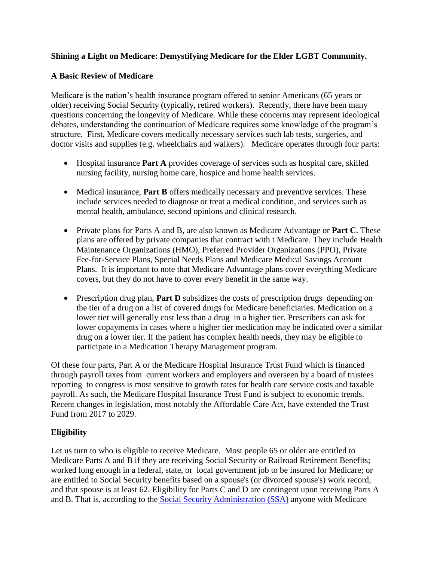## **Shining a Light on Medicare: Demystifying Medicare for the Elder LGBT Community.**

### **A Basic Review of Medicare**

Medicare is the nation's health insurance program offered to senior Americans (65 years or older) receiving Social Security (typically, retired workers). Recently, there have been many questions concerning the longevity of Medicare. While these concerns may represent ideological debates, understanding the continuation of Medicare requires some knowledge of the program's structure. First, Medicare covers medically necessary services such lab tests, surgeries, and doctor visits and supplies (e.g. wheelchairs and walkers). Medicare operates through four parts:

- Hospital insurance **Part A** provides coverage of services such as hospital care, skilled nursing facility, nursing home care, hospice and home health services.
- Medical insurance, **Part B** offers medically necessary and preventive services. These include services needed to diagnose or treat a medical condition, and services such as mental health, ambulance, second opinions and clinical research.
- Private plans for Parts A and B, are also known as Medicare Advantage or **Part C**. These plans are offered by private companies that contract with t Medicare. They include Health Maintenance Organizations (HMO), Preferred Provider Organizations (PPO), Private Fee-for-Service Plans, Special Needs Plans and Medicare Medical Savings Account Plans. It is important to note that Medicare Advantage plans cover everything Medicare covers, but they do not have to cover every benefit in the same way.
- Prescription drug plan, **Part D** [subsidizes](http://en.wikipedia.org/wiki/Subsidy) the costs of [prescription](http://en.wikipedia.org/wiki/Prescription_drug) drugs depending on the tier of a drug on a list of covered drugs for [Medicare](http://en.wikipedia.org/wiki/Medicare_(United_States)) beneficiaries. Medication on a lower tier will generally cost less than a drug in a higher tier. Prescribers can ask for lower copayments in cases where a higher tier medication may be indicated over a similar drug on a lower tier. If the patient has complex health needs, they may be eligible to participate in a Medication Therapy Management program.

Of these four parts, Part A or the Medicare Hospital Insurance Trust Fund which is financed through payroll taxes from current workers and employers and overseen by a board of trustees reporting to congress is most sensitive to growth rates for health care service costs and taxable payroll. As such, the Medicare Hospital Insurance Trust Fund is subject to economic trends. Recent changes in legislation, most notably the Affordable Care Act, have extended the Trust Fund from 2017 to 2029.

# **Eligibility**

Let us turn to who is eligible to receive Medicare. Most people 65 or older are entitled to Medicare Parts A and B if they are receiving Social Security or Railroad Retirement Benefits; worked long enough in a federal, state, or local government job to be insured for Medicare; or are entitled to Social Security benefits based on a spouse's (or divorced spouse's) work record, and that spouse is at least 62. Eligibility for Parts C and D are contingent upon receiving Parts A and B. That is, according to the [Social Security Administration \(SSA\)](http://ssa-custhelp.ssa.gov/app/answers/detail/a_id/400/~/how-to-qualify-for-medicare) anyone with Medicare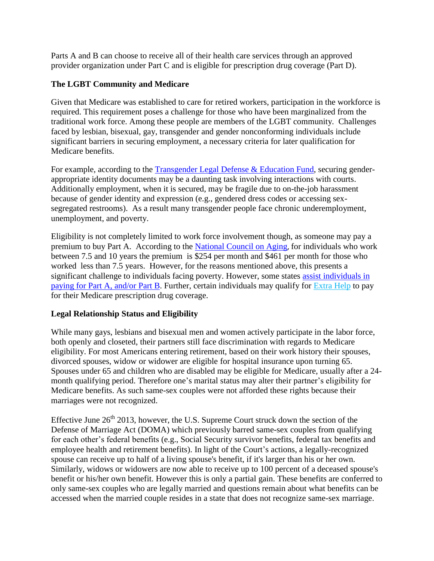Parts A and B can choose to receive all of their health care services through an approved provider organization under Part C and is eligible for prescription drug coverage (Part D).

## **The LGBT Community and Medicare**

Given that Medicare was established to care for retired workers, participation in the workforce is required. This requirement poses a challenge for those who have been marginalized from the traditional work force. Among these people are members of the LGBT community. Challenges faced by lesbian, bisexual, gay, transgender and gender nonconforming individuals include significant barriers in securing employment, a necessary criteria for later qualification for Medicare benefits.

For example, according to the [Transgender Legal Defense & Education Fund,](http://transgenderlegal.org/work_show.php?id=7) securing genderappropriate identity documents may be a daunting task involving interactions with courts. Additionally employment, when it is secured, may be fragile due to on-the-job harassment because of gender identity and expression (e.g., gendered dress codes or accessing sexsegregated restrooms). As a result many transgender people face chronic underemployment, unemployment, and poverty.

Eligibility is not completely limited to work force involvement though, as someone may pay a premium to buy Part A. According to the [National Council on Aging](http://www.mymedicarematters.org/AboutMedicare/costs.php), for individuals who work between 7.5 and 10 years the premium is \$254 per month and \$461 per month for those who worked less than 7.5 years. However, for the reasons mentioned above, this presents a significant challenge to individuals facing poverty. However, some states assist [individuals](http://www.medicare.gov/your-medicare-costs/help-paying-costs/medicare-savings-program/medicare-savings-programs.html#1368) in [paying](http://www.medicare.gov/your-medicare-costs/help-paying-costs/medicare-savings-program/medicare-savings-programs.html#1368) for Part A, and/or Part B. Further, certain individuals may qualify for [Extra](http://www.medicare.gov/your-medicare-costs/help-paying-costs/save-on-drug-costs/save-on-drug-costs.html) Help to pay for their Medicare prescription drug coverage.

### **Legal Relationship Status and Eligibility**

While many gays, lesbians and bisexual men and women actively participate in the labor force, both openly and closeted, their partners still face discrimination with regards to Medicare eligibility. For most Americans entering retirement, based on their work history their spouses, divorced spouses, widow or widower are eligible for hospital insurance upon turning 65. Spouses under 65 and children who are disabled may be eligible for Medicare, usually after a 24 month qualifying period. Therefore one's marital status may alter their partner's eligibility for Medicare benefits. As such same-sex couples were not afforded these rights because their marriages were not recognized.

Effective June  $26<sup>th</sup> 2013$ , however, the U.S. Supreme Court struck down the section of the Defense of Marriage Act (DOMA) which previously barred same-sex couples from qualifying for each other's federal benefits (e.g., Social Security survivor benefits, federal tax benefits and employee health and retirement benefits). In light of the Court's actions, a legally-recognized spouse can receive up to half of a living spouse's benefit, if it's larger than his or her own. Similarly, widows or widowers are now able to receive up to 100 percent of a deceased spouse's benefit or his/her own benefit. However this is only a partial gain. These benefits are conferred to only same-sex couples who are legally married and questions remain about what benefits can be accessed when the married couple resides in a state that does not recognize same-sex marriage.